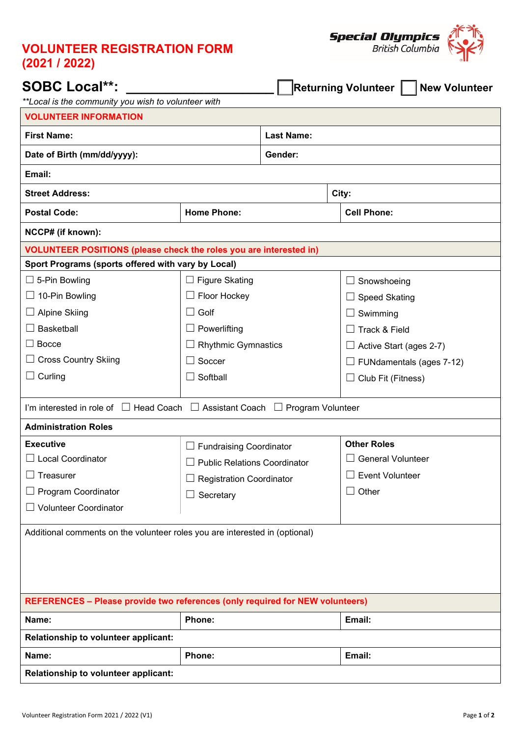## **VOLUNTEER REGISTRATION FORM (2021 / 2022)**



| <b>SOBC Local**:</b><br><b>Returning Volunteer    </b><br><b>New Volunteer</b><br>**Local is the community you wish to volunteer with |                                     |                   |                                    |  |  |  |
|---------------------------------------------------------------------------------------------------------------------------------------|-------------------------------------|-------------------|------------------------------------|--|--|--|
| <b>VOLUNTEER INFORMATION</b>                                                                                                          |                                     |                   |                                    |  |  |  |
| <b>First Name:</b>                                                                                                                    |                                     | <b>Last Name:</b> |                                    |  |  |  |
| Date of Birth (mm/dd/yyyy):                                                                                                           |                                     | Gender:           |                                    |  |  |  |
| Email:                                                                                                                                |                                     |                   |                                    |  |  |  |
| <b>Street Address:</b>                                                                                                                |                                     | City:             |                                    |  |  |  |
| <b>Postal Code:</b>                                                                                                                   | <b>Home Phone:</b>                  |                   | <b>Cell Phone:</b>                 |  |  |  |
| NCCP# (if known):                                                                                                                     |                                     |                   |                                    |  |  |  |
| <b>VOLUNTEER POSITIONS (please check the roles you are interested in)</b>                                                             |                                     |                   |                                    |  |  |  |
| Sport Programs (sports offered with vary by Local)                                                                                    |                                     |                   |                                    |  |  |  |
| $\Box$ 5-Pin Bowling                                                                                                                  | $\Box$ Figure Skating               |                   | Snowshoeing<br>ப                   |  |  |  |
| $\Box$ 10-Pin Bowling                                                                                                                 | $\Box$ Floor Hockey                 |                   | <b>Speed Skating</b>               |  |  |  |
| $\Box$ Alpine Skiing                                                                                                                  | $\Box$ Golf                         |                   | Swimming                           |  |  |  |
| <b>Basketball</b>                                                                                                                     | $\Box$ Powerlifting                 |                   | Track & Field                      |  |  |  |
| $\Box$ Bocce                                                                                                                          | <b>Rhythmic Gymnastics</b>          |                   | Active Start (ages 2-7)<br>ப       |  |  |  |
| $\Box$ Cross Country Skiing                                                                                                           | Soccer<br>$\Box$                    |                   | FUNdamentals (ages 7-12)<br>$\Box$ |  |  |  |
| $\Box$ Curling                                                                                                                        | Softball<br>$\Box$                  |                   | Club Fit (Fitness)<br>⊔            |  |  |  |
|                                                                                                                                       |                                     |                   |                                    |  |  |  |
| I'm interested in role of $\Box$ Head Coach $\Box$ Assistant Coach $\Box$ Program Volunteer                                           |                                     |                   |                                    |  |  |  |
| <b>Administration Roles</b>                                                                                                           |                                     |                   |                                    |  |  |  |
| <b>Executive</b>                                                                                                                      | $\Box$ Fundraising Coordinator      |                   | <b>Other Roles</b>                 |  |  |  |
| $\Box$ Local Coordinator                                                                                                              | <b>Public Relations Coordinator</b> |                   | $\Box$ General Volunteer           |  |  |  |
| Treasurer                                                                                                                             | <b>Registration Coordinator</b>     |                   | <b>Event Volunteer</b>             |  |  |  |
| Program Coordinator                                                                                                                   | Secretary                           |                   | Other<br>⊔                         |  |  |  |
| <b>Volunteer Coordinator</b>                                                                                                          |                                     |                   |                                    |  |  |  |
| Additional comments on the volunteer roles you are interested in (optional)                                                           |                                     |                   |                                    |  |  |  |
|                                                                                                                                       |                                     |                   |                                    |  |  |  |
|                                                                                                                                       |                                     |                   |                                    |  |  |  |
|                                                                                                                                       |                                     |                   |                                    |  |  |  |
| <b>REFERENCES - Please provide two references (only required for NEW volunteers)</b>                                                  |                                     |                   |                                    |  |  |  |
| Name:                                                                                                                                 | Phone:                              |                   | Email:                             |  |  |  |
| Relationship to volunteer applicant:                                                                                                  |                                     |                   |                                    |  |  |  |
| Name:                                                                                                                                 | Phone:                              |                   | Email:                             |  |  |  |
| Relationship to volunteer applicant:                                                                                                  |                                     |                   |                                    |  |  |  |